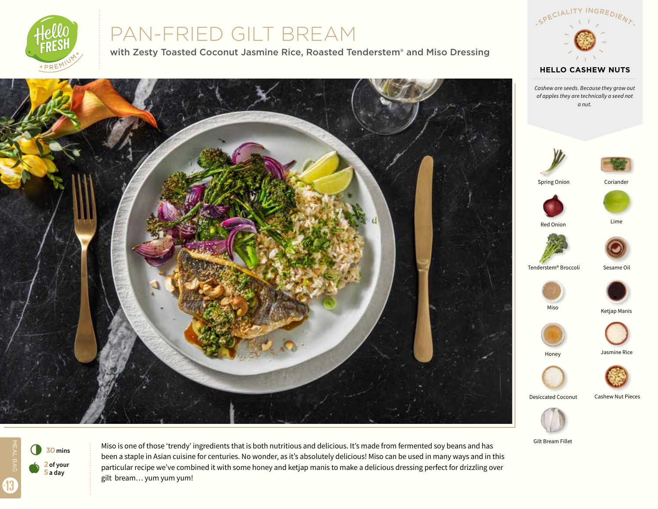

# PAN-FRIED GILT BREAM

with Zesty Toasted Coconut Jasmine Rice, Roasted Tenderstem® and Miso Dressing



Gilt Bream Fillet

SPECIALITY INGREDIENT

**HELLO CASHEW NUTS**



13

Miso is one of those 'trendy' ingredients that is both nutritious and delicious. It's made from fermented soy beans and has been a staple in Asian cuisine for centuries. No wonder, as it's absolutely delicious! Miso can be used in many ways and in this particular recipe we've combined it with some honey and ketjap manis to make a delicious dressing perfect for drizzling over gilt bream… yum yum yum!